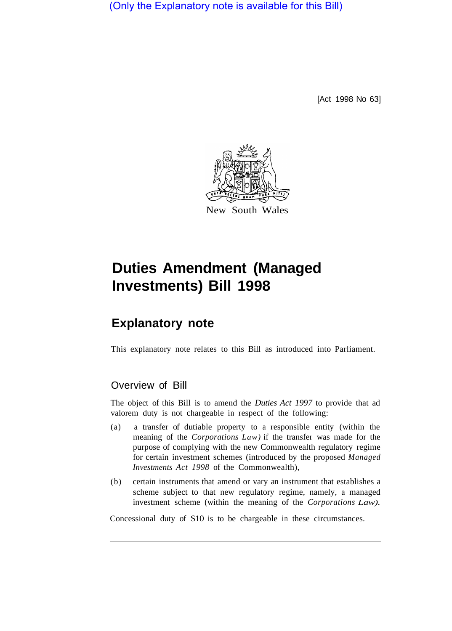(Only the Explanatory note is available for this Bill)

[Act 1998 No 63]



# **Duties Amendment (Managed Investments) Bill 1998**

# **Explanatory note**

This explanatory note relates to this Bill as introduced into Parliament.

### Overview of Bill

The object of this Bill is to amend the *Duties Act 1997* to provide that ad valorem duty is not chargeable in respect of the following:

- (a) a transfer of dutiable property to a responsible entity (within the meaning of the *Corporations Law)* if the transfer was made for the purpose of complying with the new Commonwealth regulatory regime for certain investment schemes (introduced by the proposed *Managed Investments Act 1998* of the Commonwealth),
- (b) certain instruments that amend or vary an instrument that establishes a scheme subject to that new regulatory regime, namely, a managed investment scheme (within the meaning of the *Corporations Law).*

Concessional duty of \$10 is to be chargeable in these circumstances.